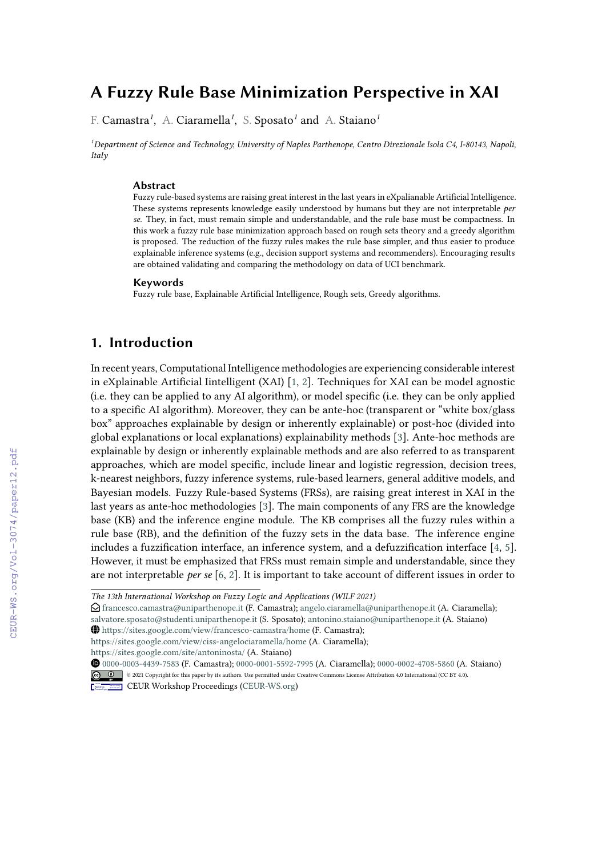# **A Fuzzy Rule Base Minimization Perspective in XAI**

F. Camastra*<sup>1</sup>* , A. Ciaramella*<sup>1</sup>* , S. Sposato*<sup>1</sup>* and A. Staiano*<sup>1</sup>*

*<sup>1</sup>Department of Science and Technology, University of Naples Parthenope, Centro Direzionale Isola C4, I-80143, Napoli, Italy*

#### **Abstract**

Fuzzy rule-based systems are raising great interest in the last years in eXpalianable Artificial Intelligence. These systems represents knowledge easily understood by humans but they are not interpretable *per se*. They, in fact, must remain simple and understandable, and the rule base must be compactness. In this work a fuzzy rule base minimization approach based on rough sets theory and a greedy algorithm is proposed. The reduction of the fuzzy rules makes the rule base simpler, and thus easier to produce explainable inference systems (e.g., decision support systems and recommenders). Encouraging results are obtained validating and comparing the methodology on data of UCI benchmark.

#### **Keywords**

Fuzzy rule base, Explainable Artificial Intelligence, Rough sets, Greedy algorithms.

### **1. Introduction**

In recent years, Computational Intelligence methodologies are experiencing considerable interest in eXplainable Artificial Iintelligent (XAI) [\[1,](#page--1-0) [2\]](#page--1-1). Techniques for XAI can be model agnostic (i.e. they can be applied to any AI algorithm), or model specific (i.e. they can be only applied to a specific AI algorithm). Moreover, they can be ante-hoc (transparent or "white box/glass box" approaches explainable by design or inherently explainable) or post-hoc (divided into global explanations or local explanations) explainability methods [\[3\]](#page--1-2). Ante-hoc methods are explainable by design or inherently explainable methods and are also referred to as transparent approaches, which are model specific, include linear and logistic regression, decision trees, k-nearest neighbors, fuzzy inference systems, rule-based learners, general additive models, and Bayesian models. Fuzzy Rule-based Systems (FRSs), are raising great interest in XAI in the last years as ante-hoc methodologies [\[3\]](#page--1-2). The main components of any FRS are the knowledge base (KB) and the inference engine module. The KB comprises all the fuzzy rules within a rule base (RB), and the definition of the fuzzy sets in the data base. The inference engine includes a fuzzification interface, an inference system, and a defuzzification interface [\[4,](#page--1-3) [5\]](#page--1-4). However, it must be emphasized that FRSs must remain simple and understandable, since they are not interpretable *per se* [\[6,](#page--1-5) [2\]](#page--1-1). It is important to take account of different issues in order to

 $\bigcirc$  [francesco.camastra@uniparthenope.it](mailto:francesco.camastra@uniparthenope.it) (F. Camastra); [angelo.ciaramella@uniparthenope.it](mailto:angelo.ciaramella@uniparthenope.it) (A. Ciaramella); [salvatore.sposato@studenti.uniparthenope.it](mailto:salvatore.sposato@studenti.uniparthenope.it) (S. Sposato); [antonino.staiano@uniparthenope.it](mailto:antonino.staiano@uniparthenope.it) (A. Staiano)

~ <https://sites.google.com/view/francesco-camastra/home> (F. Camastra);

<https://sites.google.com/view/ciss-angelociaramella/home> (A. Ciaramella);

<https://sites.google.com/site/antoninosta/> (A. Staiano)

*The 13th International Workshop on Fuzzy Logic and Applications (WILF 2021)*

[0000-0003-4439-7583](https://orcid.org/0000-0003-4439-7583) (F. Camastra); [0000-0001-5592-7995](https://orcid.org/0000-0001-5592-7995) (A. Ciaramella); [0000-0002-4708-5860](https://orcid.org/0000-0002-4708-5860) (A. Staiano) © 2021 Copyright for this paper by its authors. Use permitted under Creative Commons License Attribution 4.0 International (CC BY 4.0).

**CEUR Workshop [Proceedings](http://ceur-ws.org) [\(CEUR-WS.org\)](http://ceur-ws.org)**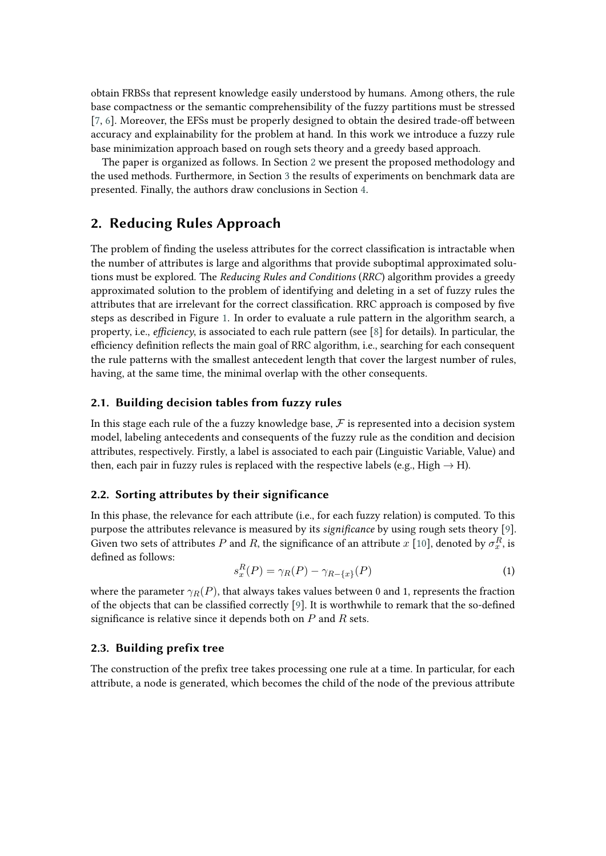obtain FRBSs that represent knowledge easily understood by humans. Among others, the rule base compactness or the semantic comprehensibility of the fuzzy partitions must be stressed [\[7,](#page-4-0) [6\]](#page-4-1). Moreover, the EFSs must be properly designed to obtain the desired trade-off between accuracy and explainability for the problem at hand. In this work we introduce a fuzzy rule base minimization approach based on rough sets theory and a greedy based approach.

The paper is organized as follows. In Section [2](#page-1-0) we present the proposed methodology and the used methods. Furthermore, in Section [3](#page-3-0) the results of experiments on benchmark data are presented. Finally, the authors draw conclusions in Section [4.](#page-4-2)

### <span id="page-1-0"></span>**2. Reducing Rules Approach**

The problem of finding the useless attributes for the correct classification is intractable when the number of attributes is large and algorithms that provide suboptimal approximated solutions must be explored. The *Reducing Rules and Conditions* (*RRC*) algorithm provides a greedy approximated solution to the problem of identifying and deleting in a set of fuzzy rules the attributes that are irrelevant for the correct classification. RRC approach is composed by five steps as described in Figure [1.](#page-2-0) In order to evaluate a rule pattern in the algorithm search, a property, i.e., *efficiency*, is associated to each rule pattern (see [\[8\]](#page-4-3) for details). In particular, the efficiency definition reflects the main goal of RRC algorithm, i.e., searching for each consequent the rule patterns with the smallest antecedent length that cover the largest number of rules, having, at the same time, the minimal overlap with the other consequents.

### **2.1. Building decision tables from fuzzy rules**

In this stage each rule of the a fuzzy knowledge base,  $\mathcal F$  is represented into a decision system model, labeling antecedents and consequents of the fuzzy rule as the condition and decision attributes, respectively. Firstly, a label is associated to each pair (Linguistic Variable, Value) and then, each pair in fuzzy rules is replaced with the respective labels (e.g., High  $\rightarrow$  H).

### **2.2. Sorting attributes by their significance**

In this phase, the relevance for each attribute (i.e., for each fuzzy relation) is computed. To this purpose the attributes relevance is measured by its *significance* by using rough sets theory [\[9\]](#page-4-4). Given two sets of attributes  $P$  and  $R$ , the significance of an attribute  $x$  [\[10\]](#page-4-5), denoted by  $\sigma_x^R$ , is defined as follows:

$$
s_x^R(P) = \gamma_R(P) - \gamma_{R-\{x\}}(P) \tag{1}
$$

where the parameter  $\gamma_R(P)$ , that always takes values between 0 and 1, represents the fraction of the objects that can be classified correctly [\[9\]](#page-4-4). It is worthwhile to remark that the so-defined significance is relative since it depends both on  $P$  and  $R$  sets.

### **2.3. Building prefix tree**

The construction of the prefix tree takes processing one rule at a time. In particular, for each attribute, a node is generated, which becomes the child of the node of the previous attribute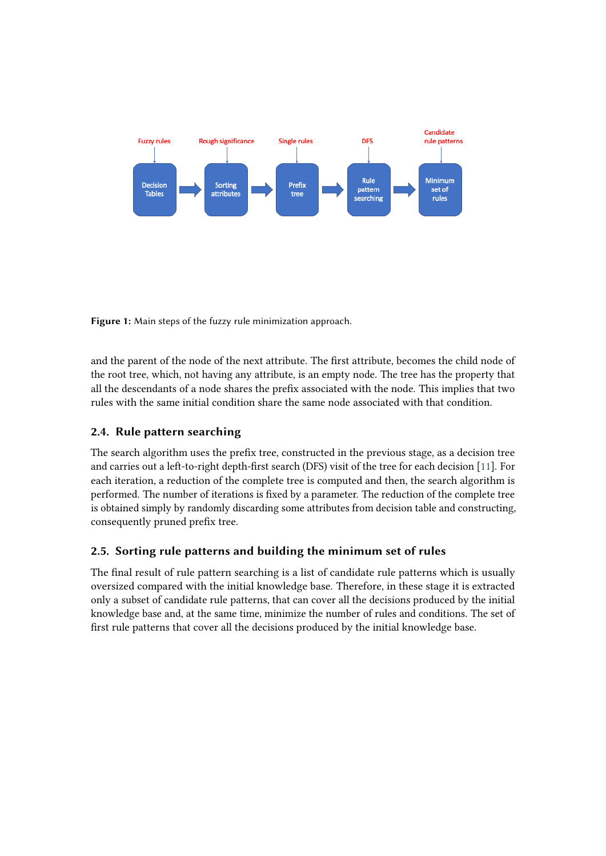

<span id="page-2-0"></span>**Figure 1:** Main steps of the fuzzy rule minimization approach.

and the parent of the node of the next attribute. The first attribute, becomes the child node of the root tree, which, not having any attribute, is an empty node. The tree has the property that all the descendants of a node shares the prefix associated with the node. This implies that two rules with the same initial condition share the same node associated with that condition.

### **2.4. Rule pattern searching**

The search algorithm uses the prefix tree, constructed in the previous stage, as a decision tree and carries out a left-to-right depth-first search (DFS) visit of the tree for each decision [\[11\]](#page-4-6). For each iteration, a reduction of the complete tree is computed and then, the search algorithm is performed. The number of iterations is fixed by a parameter. The reduction of the complete tree is obtained simply by randomly discarding some attributes from decision table and constructing, consequently pruned prefix tree.

### **2.5. Sorting rule patterns and building the minimum set of rules**

The final result of rule pattern searching is a list of candidate rule patterns which is usually oversized compared with the initial knowledge base. Therefore, in these stage it is extracted only a subset of candidate rule patterns, that can cover all the decisions produced by the initial knowledge base and, at the same time, minimize the number of rules and conditions. The set of first rule patterns that cover all the decisions produced by the initial knowledge base.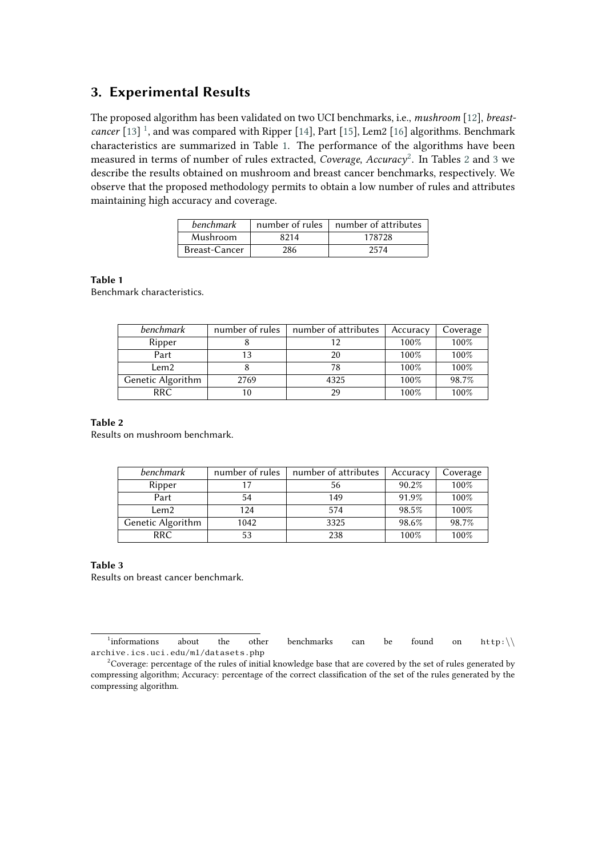### <span id="page-3-0"></span>**3. Experimental Results**

The proposed algorithm has been validated on two UCI benchmarks, i.e., *mushroom* [\[12\]](#page-5-0), *breast-*cancer [\[13\]](#page-5-1)<sup>[1](#page-3-1)</sup>, and was compared with Ripper [\[14\]](#page-5-2), Part [\[15\]](#page-5-3), Lem2 [\[16\]](#page-5-4) algorithms. Benchmark characteristics are summarized in Table [1.](#page-3-2) The performance of the algorithms have been measured in terms of number of rules extracted, *Coverage*, *Accuracy*[2](#page-3-3) . In Tables [2](#page-3-4) and [3](#page-3-5) we describe the results obtained on mushroom and breast cancer benchmarks, respectively. We observe that the proposed methodology permits to obtain a low number of rules and attributes maintaining high accuracy and coverage.

| benchmark     | number of rules | number of attributes |
|---------------|-----------------|----------------------|
| Mushroom      | 8214            | 178728               |
| Breast-Cancer | 286             | 2574                 |

#### <span id="page-3-2"></span>**Table 1**

Benchmark characteristics.

| benchmark         | number of rules | number of attributes | Accuracy | Coverage |
|-------------------|-----------------|----------------------|----------|----------|
| Ripper            |                 |                      | 100%     | 100%     |
| Part              | 13              | 20                   | 100%     | 100%     |
| Lem2              |                 | 78                   | 100%     | 100%     |
| Genetic Algorithm | 2769            | 4325                 | 100%     | 98.7%    |
| RRC.              | 10              | 29                   | 100%     | 100%     |

#### <span id="page-3-4"></span>**Table 2**

Results on mushroom benchmark.

| benchmark         | number of rules | number of attributes | Accuracy | Coverage |
|-------------------|-----------------|----------------------|----------|----------|
| Ripper            | 17              | 56                   | 90.2%    | 100%     |
| Part              | 54              | 149                  | 91.9%    | 100%     |
| Lem2              | 124             | 574                  | 98.5%    | 100%     |
| Genetic Algorithm | 1042            | 3325                 | 98.6%    | 98.7%    |
| RRC.              | 53              | 238                  | 100%     | 100%     |

#### <span id="page-3-5"></span>**Table 3**

Results on breast cancer benchmark.

<span id="page-3-1"></span><sup>1</sup> informations about the other benchmarks can be found on http:∖∖ archive.ics.uci.edu/ml/datasets.php

<span id="page-3-3"></span><sup>&</sup>lt;sup>2</sup>Coverage: percentage of the rules of initial knowledge base that are covered by the set of rules generated by compressing algorithm; Accuracy: percentage of the correct classification of the set of the rules generated by the compressing algorithm.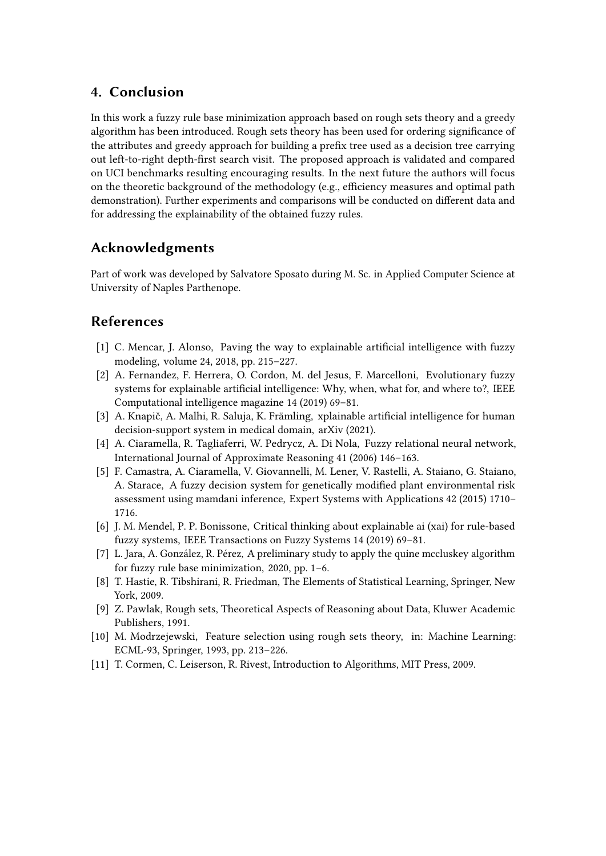# <span id="page-4-2"></span>**4. Conclusion**

In this work a fuzzy rule base minimization approach based on rough sets theory and a greedy algorithm has been introduced. Rough sets theory has been used for ordering significance of the attributes and greedy approach for building a prefix tree used as a decision tree carrying out left-to-right depth-first search visit. The proposed approach is validated and compared on UCI benchmarks resulting encouraging results. In the next future the authors will focus on the theoretic background of the methodology (e.g., efficiency measures and optimal path demonstration). Further experiments and comparisons will be conducted on different data and for addressing the explainability of the obtained fuzzy rules.

# **Acknowledgments**

Part of work was developed by Salvatore Sposato during M. Sc. in Applied Computer Science at University of Naples Parthenope.

# **References**

- [1] C. Mencar, J. Alonso, Paving the way to explainable artificial intelligence with fuzzy modeling, volume 24, 2018, pp. 215–227.
- [2] A. Fernandez, F. Herrera, O. Cordon, M. del Jesus, F. Marcelloni, Evolutionary fuzzy systems for explainable artificial intelligence: Why, when, what for, and where to?, IEEE Computational intelligence magazine 14 (2019) 69–81.
- [3] A. Knapič, A. Malhi, R. Saluja, K. Främling, xplainable artificial intelligence for human decision-support system in medical domain, arXiv (2021).
- [4] A. Ciaramella, R. Tagliaferri, W. Pedrycz, A. Di Nola, Fuzzy relational neural network, International Journal of Approximate Reasoning 41 (2006) 146–163.
- [5] F. Camastra, A. Ciaramella, V. Giovannelli, M. Lener, V. Rastelli, A. Staiano, G. Staiano, A. Starace, A fuzzy decision system for genetically modified plant environmental risk assessment using mamdani inference, Expert Systems with Applications 42 (2015) 1710– 1716.
- <span id="page-4-1"></span>[6] J. M. Mendel, P. P. Bonissone, Critical thinking about explainable ai (xai) for rule-based fuzzy systems, IEEE Transactions on Fuzzy Systems 14 (2019) 69–81.
- <span id="page-4-0"></span>[7] L. Jara, A. González, R. Pérez, A preliminary study to apply the quine mccluskey algorithm for fuzzy rule base minimization, 2020, pp. 1–6.
- <span id="page-4-3"></span>[8] T. Hastie, R. Tibshirani, R. Friedman, The Elements of Statistical Learning, Springer, New York, 2009.
- <span id="page-4-4"></span>[9] Z. Pawlak, Rough sets, Theoretical Aspects of Reasoning about Data, Kluwer Academic Publishers, 1991.
- <span id="page-4-5"></span>[10] M. Modrzejewski, Feature selection using rough sets theory, in: Machine Learning: ECML-93, Springer, 1993, pp. 213–226.
- <span id="page-4-6"></span>[11] T. Cormen, C. Leiserson, R. Rivest, Introduction to Algorithms, MIT Press, 2009.